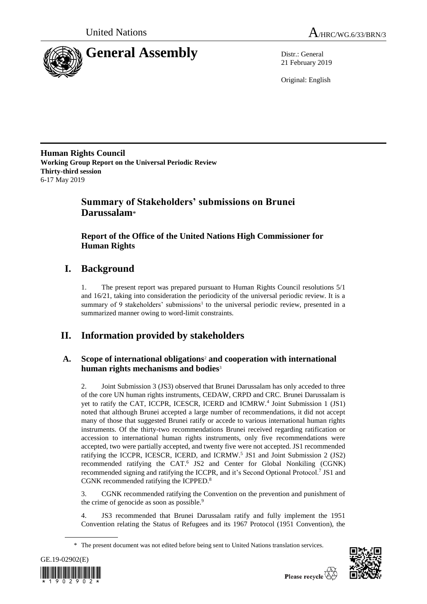



21 February 2019

Original: English

**Human Rights Council Working Group Report on the Universal Periodic Review Thirty-third session** 6-17 May 2019

# **Summary of Stakeholders' submissions on Brunei Darussalam**\*

# **Report of the Office of the United Nations High Commissioner for Human Rights**

# **I. Background**

1. The present report was prepared pursuant to Human Rights Council resolutions 5/1 and 16/21, taking into consideration the periodicity of the universal periodic review. It is a summary of 9 stakeholders' submissions<sup>1</sup> to the universal periodic review, presented in a summarized manner owing to word-limit constraints.

# **II. Information provided by stakeholders**

# **A. Scope of international obligations**<sup>2</sup> **and cooperation with international human rights mechanisms and bodies**<sup>3</sup>

2. Joint Submission 3 (JS3) observed that Brunei Darussalam has only acceded to three of the core UN human rights instruments, CEDAW, CRPD and CRC. Brunei Darussalam is yet to ratify the CAT, ICCPR, ICESCR, ICERD and ICMRW.<sup>4</sup> Joint Submission 1 (JS1) noted that although Brunei accepted a large number of recommendations, it did not accept many of those that suggested Brunei ratify or accede to various international human rights instruments. Of the thirty-two recommendations Brunei received regarding ratification or accession to international human rights instruments, only five recommendations were accepted, two were partially accepted, and twenty five were not accepted. JS1 recommended ratifying the ICCPR, ICESCR, ICERD, and ICRMW.<sup>5</sup> JS1 and Joint Submission 2 (JS2) recommended ratifying the CAT.<sup>6</sup> JS2 and Center for Global Nonkiling (CGNK) recommended signing and ratifying the ICCPR, and it's Second Optional Protocol.<sup>7</sup> JS1 and CGNK recommended ratifying the ICPPED. 8

3. CGNK recommended ratifying the Convention on the prevention and punishment of the crime of genocide as soon as possible.<sup>9</sup>

4. JS3 recommended that Brunei Darussalam ratify and fully implement the 1951 Convention relating the Status of Refugees and its 1967 Protocol (1951 Convention), the

<sup>\*</sup> The present document was not edited before being sent to United Nations translation services.



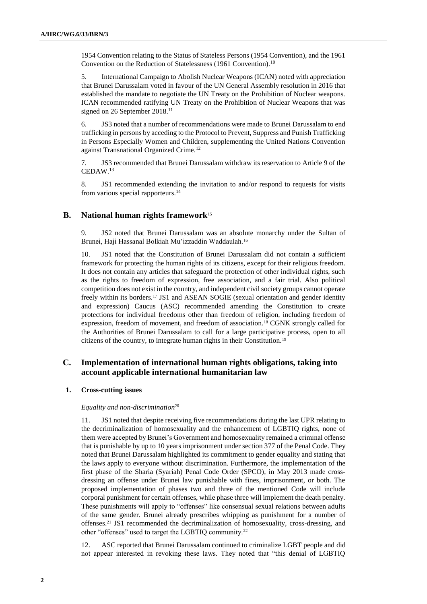1954 Convention relating to the Status of Stateless Persons (1954 Convention), and the 1961 Convention on the Reduction of Statelessness (1961 Convention).<sup>10</sup>

5. International Campaign to Abolish Nuclear Weapons (ICAN) noted with appreciation that Brunei Darussalam voted in favour of the UN General Assembly resolution in 2016 that established the mandate to negotiate the UN Treaty on the Prohibition of Nuclear weapons. ICAN recommended ratifying UN Treaty on the Prohibition of Nuclear Weapons that was signed on 26 September 2018.<sup>11</sup>

6. JS3 noted that a number of recommendations were made to Brunei Darussalam to end trafficking in persons by acceding to the Protocol to Prevent, Suppress and Punish Trafficking in Persons Especially Women and Children, supplementing the United Nations Convention against Transnational Organized Crime.<sup>12</sup>

7. JS3 recommended that Brunei Darussalam withdraw its reservation to Article 9 of the CEDAW.<sup>13</sup>

8. JS1 recommended extending the invitation to and/or respond to requests for visits from various special rapporteurs.<sup>14</sup>

# **B. National human rights framework**<sup>15</sup>

9. JS2 noted that Brunei Darussalam was an absolute monarchy under the Sultan of Brunei, Haji Hassanal Bolkiah Mu'izzaddin Waddaulah.<sup>16</sup>

10. JS1 noted that the Constitution of Brunei Darussalam did not contain a sufficient framework for protecting the human rights of its citizens, except for their religious freedom. It does not contain any articles that safeguard the protection of other individual rights, such as the rights to freedom of expression, free association, and a fair trial. Also political competition does not exist in the country, and independent civil society groups cannot operate freely within its borders.<sup>17</sup> JS1 and ASEAN SOGIE (sexual orientation and gender identity and expression) Caucus (ASC) recommended amending the Constitution to create protections for individual freedoms other than freedom of religion, including freedom of expression, freedom of movement, and freedom of association.<sup>18</sup> CGNK strongly called for the Authorities of Brunei Darussalam to call for a large participative process, open to all citizens of the country, to integrate human rights in their Constitution.<sup>19</sup>

# **C. Implementation of international human rights obligations, taking into account applicable international humanitarian law**

#### **1. Cross-cutting issues**

#### *Equality and non-discrimination*<sup>20</sup>

11. JS1 noted that despite receiving five recommendations during the last UPR relating to the decriminalization of homosexuality and the enhancement of LGBTIQ rights, none of them were accepted by Brunei's Government and homosexuality remained a criminal offense that is punishable by up to 10 years imprisonment under section 377 of the Penal Code. They noted that Brunei Darussalam highlighted its commitment to gender equality and stating that the laws apply to everyone without discrimination. Furthermore, the implementation of the first phase of the Sharia (Syariah) Penal Code Order (SPCO), in May 2013 made crossdressing an offense under Brunei law punishable with fines, imprisonment, or both. The proposed implementation of phases two and three of the mentioned Code will include corporal punishment for certain offenses, while phase three will implement the death penalty. These punishments will apply to "offenses" like consensual sexual relations between adults of the same gender. Brunei already prescribes whipping as punishment for a number of offenses.<sup>21</sup> JS1 recommended the decriminalization of homosexuality, cross-dressing, and other "offenses" used to target the LGBTIQ community.<sup>22</sup>

12. ASC reported that Brunei Darussalam continued to criminalize LGBT people and did not appear interested in revoking these laws. They noted that "this denial of LGBTIQ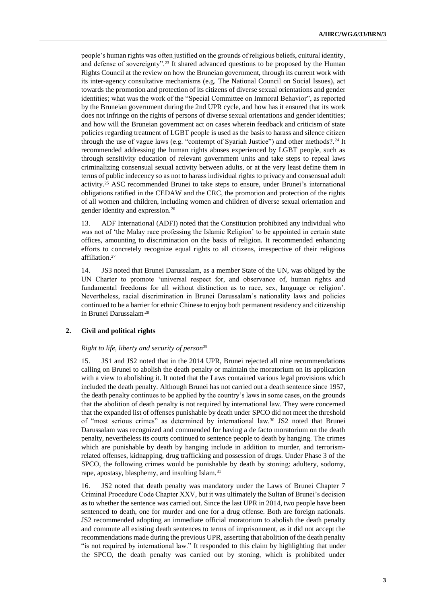people's human rights was often justified on the grounds of religious beliefs, cultural identity, and defense of sovereignty".<sup>23</sup> It shared advanced questions to be proposed by the Human Rights Council at the review on how the Bruneian government, through its current work with its inter-agency consultative mechanisms (e.g. The National Council on Social Issues), act towards the promotion and protection of its citizens of diverse sexual orientations and gender identities; what was the work of the "Special Committee on Immoral Behavior", as reported by the Bruneian government during the 2nd UPR cycle, and how has it ensured that its work does not infringe on the rights of persons of diverse sexual orientations and gender identities; and how will the Bruneian government act on cases wherein feedback and criticism of state policies regarding treatment of LGBT people is used as the basis to harass and silence citizen through the use of vague laws (e.g. "contempt of Syariah Justice") and other methods?.<sup>24</sup> It recommended addressing the human rights abuses experienced by LGBT people, such as through sensitivity education of relevant government units and take steps to repeal laws criminalizing consensual sexual activity between adults, or at the very least define them in terms of public indecency so as not to harass individual rights to privacy and consensual adult activity.<sup>25</sup> ASC recommended Brunei to take steps to ensure, under Brunei's international obligations ratified in the CEDAW and the CRC, the promotion and protection of the rights of all women and children, including women and children of diverse sexual orientation and gender identity and expression.<sup>26</sup>

13. ADF International (ADFI) noted that the Constitution prohibited any individual who was not of 'the Malay race professing the Islamic Religion' to be appointed in certain state offices, amounting to discrimination on the basis of religion. It recommended enhancing efforts to concretely recognize equal rights to all citizens, irrespective of their religious affiliation.<sup>27</sup>

14. JS3 noted that Brunei Darussalam, as a member State of the UN, was obliged by the UN Charter to promote 'universal respect for, and observance of, human rights and fundamental freedoms for all without distinction as to race, sex, language or religion'. Nevertheless, racial discrimination in Brunei Darussalam's nationality laws and policies continued to be a barrier for ethnic Chinese to enjoy both permanent residency and citizenship in Brunei Darussalam.28

# **2. Civil and political rights**

#### *Right to life, liberty and security of person*<sup>29</sup>

15. JS1 and JS2 noted that in the 2014 UPR, Brunei rejected all nine recommendations calling on Brunei to abolish the death penalty or maintain the moratorium on its application with a view to abolishing it. It noted that the Laws contained various legal provisions which included the death penalty. Although Brunei has not carried out a death sentence since 1957, the death penalty continues to be applied by the country's laws in some cases, on the grounds that the abolition of death penalty is not required by international law. They were concerned that the expanded list of offenses punishable by death under SPCO did not meet the threshold of "most serious crimes" as determined by international law.<sup>30</sup> JS2 noted that Brunei Darussalam was recognized and commended for having a de facto moratorium on the death penalty, nevertheless its courts continued to sentence people to death by hanging. The crimes which are punishable by death by hanging include in addition to murder, and terrorismrelated offenses, kidnapping, drug trafficking and possession of drugs. Under Phase 3 of the SPCO, the following crimes would be punishable by death by stoning: adultery, sodomy, rape, apostasy, blasphemy, and insulting Islam.<sup>31</sup>

16. JS2 noted that death penalty was mandatory under the Laws of Brunei Chapter 7 Criminal Procedure Code Chapter XXV, but it was ultimately the Sultan of Brunei's decision as to whether the sentence was carried out. Since the last UPR in 2014, two people have been sentenced to death, one for murder and one for a drug offense. Both are foreign nationals. JS2 recommended adopting an immediate official moratorium to abolish the death penalty and commute all existing death sentences to terms of imprisonment, as it did not accept the recommendations made during the previous UPR, asserting that abolition of the death penalty "is not required by international law." It responded to this claim by highlighting that under the SPCO, the death penalty was carried out by stoning, which is prohibited under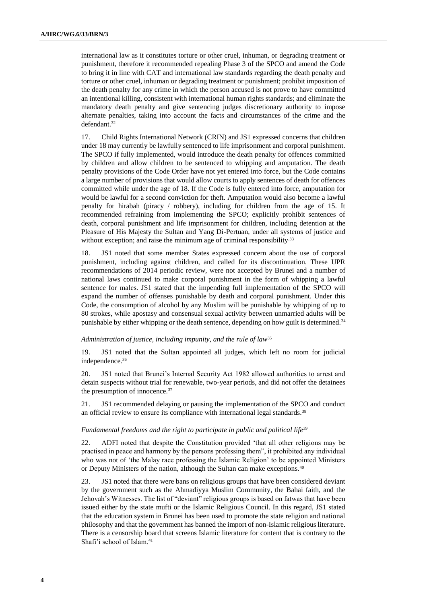international law as it constitutes torture or other cruel, inhuman, or degrading treatment or punishment, therefore it recommended repealing Phase 3 of the SPCO and amend the Code to bring it in line with CAT and international law standards regarding the death penalty and torture or other cruel, inhuman or degrading treatment or punishment; prohibit imposition of the death penalty for any crime in which the person accused is not prove to have committed an intentional killing, consistent with international human rights standards; and eliminate the mandatory death penalty and give sentencing judges discretionary authority to impose alternate penalties, taking into account the facts and circumstances of the crime and the defendant.<sup>32</sup>

17. Child Rights International Network (CRIN) and JS1 expressed concerns that children under 18 may currently be lawfully sentenced to life imprisonment and corporal punishment. The SPCO if fully implemented, would introduce the death penalty for offences committed by children and allow children to be sentenced to whipping and amputation. The death penalty provisions of the Code Order have not yet entered into force, but the Code contains a large number of provisions that would allow courts to apply sentences of death for offences committed while under the age of 18. If the Code is fully entered into force, amputation for would be lawful for a second conviction for theft. Amputation would also become a lawful penalty for hirabah (piracy / robbery), including for children from the age of 15. It recommended refraining from implementing the SPCO; explicitly prohibit sentences of death, corporal punishment and life imprisonment for children, including detention at the Pleasure of His Majesty the Sultan and Yang Di-Pertuan, under all systems of justice and without exception; and raise the minimum age of criminal responsibility.<sup>33</sup>

18. JS1 noted that some member States expressed concern about the use of corporal punishment, including against children, and called for its discontinuation. These UPR recommendations of 2014 periodic review, were not accepted by Brunei and a number of national laws continued to make corporal punishment in the form of whipping a lawful sentence for males. JS1 stated that the impending full implementation of the SPCO will expand the number of offenses punishable by death and corporal punishment. Under this Code, the consumption of alcohol by any Muslim will be punishable by whipping of up to 80 strokes, while apostasy and consensual sexual activity between unmarried adults will be punishable by either whipping or the death sentence, depending on how guilt is determined.<sup>34</sup>

## *Administration of justice, including impunity, and the rule of law*<sup>35</sup>

19. JS1 noted that the Sultan appointed all judges, which left no room for judicial independence.<sup>36</sup>

20. JS1 noted that Brunei's Internal Security Act 1982 allowed authorities to arrest and detain suspects without trial for renewable, two-year periods, and did not offer the detainees the presumption of innocence.<sup>37</sup>

21. JS1 recommended delaying or pausing the implementation of the SPCO and conduct an official review to ensure its compliance with international legal standards.<sup>38</sup>

#### Fundamental freedoms and the right to participate in public and political life<sup>39</sup>

22. ADFI noted that despite the Constitution provided 'that all other religions may be practised in peace and harmony by the persons professing them", it prohibited any individual who was not of 'the Malay race professing the Islamic Religion' to be appointed Ministers or Deputy Ministers of the nation, although the Sultan can make exceptions.<sup>40</sup>

23. JS1 noted that there were bans on religious groups that have been considered deviant by the government such as the Ahmadiyya Muslim Community, the Bahai faith, and the Jehovah's Witnesses. The list of "deviant" religious groups is based on fatwas that have been issued either by the state mufti or the Islamic Religious Council. In this regard, JS1 stated that the education system in Brunei has been used to promote the state religion and national philosophy and that the government has banned the import of non-Islamic religious literature. There is a censorship board that screens Islamic literature for content that is contrary to the Shafi'i school of Islam.41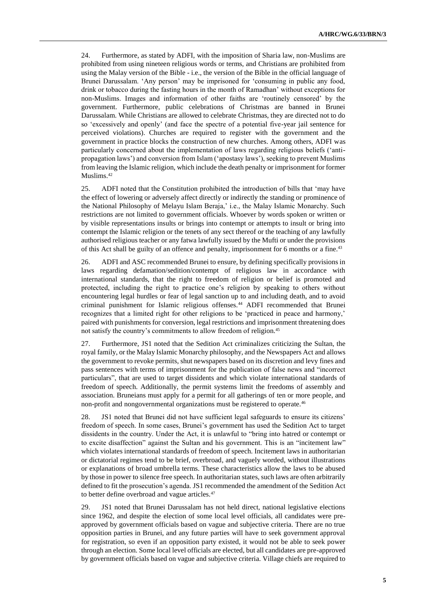24. Furthermore, as stated by ADFI, with the imposition of Sharia law, non-Muslims are prohibited from using nineteen religious words or terms, and Christians are prohibited from using the Malay version of the Bible - i.e., the version of the Bible in the official language of Brunei Darussalam. 'Any person' may be imprisoned for 'consuming in public any food, drink or tobacco during the fasting hours in the month of Ramadhan' without exceptions for non-Muslims. Images and information of other faiths are 'routinely censored' by the government. Furthermore, public celebrations of Christmas are banned in Brunei Darussalam. While Christians are allowed to celebrate Christmas, they are directed not to do so 'excessively and openly' (and face the spectre of a potential five-year jail sentence for perceived violations). Churches are required to register with the government and the government in practice blocks the construction of new churches. Among others, ADFI was particularly concerned about the implementation of laws regarding religious beliefs ('antipropagation laws') and conversion from Islam ('apostasy laws'), seeking to prevent Muslims from leaving the Islamic religion, which include the death penalty or imprisonment for former Muslims.<sup>42</sup>

25. ADFI noted that the Constitution prohibited the introduction of bills that 'may have the effect of lowering or adversely affect directly or indirectly the standing or prominence of the National Philosophy of Melayu Islam Beraja,' i.e., the Malay Islamic Monarchy. Such restrictions are not limited to government officials. Whoever by words spoken or written or by visible representations insults or brings into contempt or attempts to insult or bring into contempt the Islamic religion or the tenets of any sect thereof or the teaching of any lawfully authorised religious teacher or any fatwa lawfully issued by the Mufti or under the provisions of this Act shall be guilty of an offence and penalty, imprisonment for 6 months or a fine.<sup>43</sup>

26. ADFI and ASC recommended Brunei to ensure, by defining specifically provisions in laws regarding defamation/sedition/contempt of religious law in accordance with international standards, that the right to freedom of religion or belief is promoted and protected, including the right to practice one's religion by speaking to others without encountering legal hurdles or fear of legal sanction up to and including death, and to avoid criminal punishment for Islamic religious offenses.<sup>44</sup> ADFI recommended that Brunei recognizes that a limited right for other religions to be 'practiced in peace and harmony,' paired with punishments for conversion, legal restrictions and imprisonment threatening does not satisfy the country's commitments to allow freedom of religion.<sup>45</sup>

27. Furthermore, JS1 noted that the Sedition Act criminalizes criticizing the Sultan, the royal family, or the Malay Islamic Monarchy philosophy, and the Newspapers Act and allows the government to revoke permits, shut newspapers based on its discretion and levy fines and pass sentences with terms of imprisonment for the publication of false news and "incorrect particulars", that are used to target dissidents and which violate international standards of freedom of speech. Additionally, the permit systems limit the freedoms of assembly and association. Bruneians must apply for a permit for all gatherings of ten or more people, and non-profit and nongovernmental organizations must be registered to operate.<sup>46</sup>

28. JS1 noted that Brunei did not have sufficient legal safeguards to ensure its citizens' freedom of speech. In some cases, Brunei's government has used the Sedition Act to target dissidents in the country. Under the Act, it is unlawful to "bring into hatred or contempt or to excite disaffection" against the Sultan and his government. This is an "incitement law" which violates international standards of freedom of speech. Incitement laws in authoritarian or dictatorial regimes tend to be brief, overbroad, and vaguely worded, without illustrations or explanations of broad umbrella terms. These characteristics allow the laws to be abused by those in power to silence free speech. In authoritarian states, such laws are often arbitrarily defined to fit the prosecution's agenda. JS1 recommended the amendment of the Sedition Act to better define overbroad and vague articles.<sup>47</sup>

29. JS1 noted that Brunei Darussalam has not held direct, national legislative elections since 1962, and despite the election of some local level officials, all candidates were preapproved by government officials based on vague and subjective criteria. There are no true opposition parties in Brunei, and any future parties will have to seek government approval for registration, so even if an opposition party existed, it would not be able to seek power through an election. Some local level officials are elected, but all candidates are pre-approved by government officials based on vague and subjective criteria. Village chiefs are required to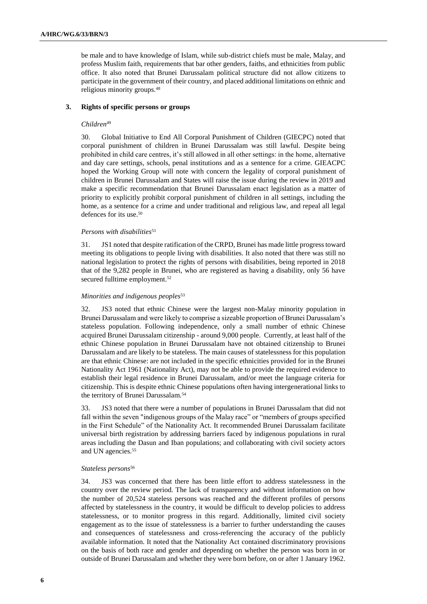be male and to have knowledge of Islam, while sub-district chiefs must be male, Malay, and profess Muslim faith, requirements that bar other genders, faiths, and ethnicities from public office. It also noted that Brunei Darussalam political structure did not allow citizens to participate in the government of their country, and placed additional limitations on ethnic and religious minority groups.<sup>48</sup>

## **3. Rights of specific persons or groups**

## *Children*<sup>49</sup>

30. Global Initiative to End All Corporal Punishment of Children (GIECPC) noted that corporal punishment of children in Brunei Darussalam was still lawful. Despite being prohibited in child care centres, it's still allowed in all other settings: in the home, alternative and day care settings, schools, penal institutions and as a sentence for a crime. GIEACPC hoped the Working Group will note with concern the legality of corporal punishment of children in Brunei Darussalam and States will raise the issue during the review in 2019 and make a specific recommendation that Brunei Darussalam enact legislation as a matter of priority to explicitly prohibit corporal punishment of children in all settings, including the home, as a sentence for a crime and under traditional and religious law, and repeal all legal defences for its use.<sup>50</sup>

## *Persons with disabilities*<sup>51</sup>

31. JS1 noted that despite ratification of the CRPD, Brunei has made little progress toward meeting its obligations to people living with disabilities. It also noted that there was still no national legislation to protect the rights of persons with disabilities, being reported in 2018 that of the 9,282 people in Brunei, who are registered as having a disability, only 56 have secured fulltime employment.<sup>52</sup>

## *Minorities and indigenous peoples*<sup>53</sup>

32. JS3 noted that ethnic Chinese were the largest non-Malay minority population in Brunei Darussalam and were likely to comprise a sizeable proportion of Brunei Darussalam's stateless population. Following independence, only a small number of ethnic Chinese acquired Brunei Darussalam citizenship - around 9,000 people. Currently, at least half of the ethnic Chinese population in Brunei Darussalam have not obtained citizenship to Brunei Darussalam and are likely to be stateless. The main causes of statelessness for this population are that ethnic Chinese: are not included in the specific ethnicities provided for in the Brunei Nationality Act 1961 (Nationality Act), may not be able to provide the required evidence to establish their legal residence in Brunei Darussalam, and/or meet the language criteria for citizenship. This is despite ethnic Chinese populations often having intergenerational links to the territory of Brunei Darussalam.<sup>54</sup>

33. JS3 noted that there were a number of populations in Brunei Darussalam that did not fall within the seven "indigenous groups of the Malay race" or "members of groups specified in the First Schedule" of the Nationality Act. It recommended Brunei Darussalam facilitate universal birth registration by addressing barriers faced by indigenous populations in rural areas including the Dasun and Iban populations; and collaborating with civil society actors and UN agencies.<sup>55</sup>

#### *Stateless persons*<sup>56</sup>

34. JS3 was concerned that there has been little effort to address statelessness in the country over the review period. The lack of transparency and without information on how the number of 20,524 stateless persons was reached and the different profiles of persons affected by statelessness in the country, it would be difficult to develop policies to address statelessness, or to monitor progress in this regard. Additionally, limited civil society engagement as to the issue of statelessness is a barrier to further understanding the causes and consequences of statelessness and cross-referencing the accuracy of the publicly available information. It noted that the Nationality Act contained discriminatory provisions on the basis of both race and gender and depending on whether the person was born in or outside of Brunei Darussalam and whether they were born before, on or after 1 January 1962.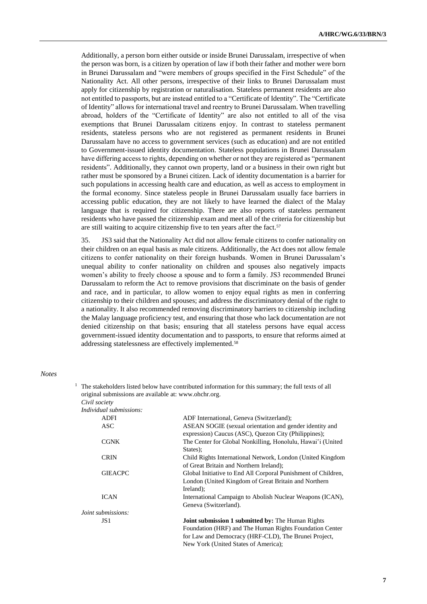Additionally, a person born either outside or inside Brunei Darussalam, irrespective of when the person was born, is a citizen by operation of law if both their father and mother were born in Brunei Darussalam and "were members of groups specified in the First Schedule" of the Nationality Act. All other persons, irrespective of their links to Brunei Darussalam must apply for citizenship by registration or naturalisation. Stateless permanent residents are also not entitled to passports, but are instead entitled to a "Certificate of Identity". The "Certificate of Identity" allows for international travel and reentry to Brunei Darussalam. When travelling abroad, holders of the "Certificate of Identity" are also not entitled to all of the visa exemptions that Brunei Darussalam citizens enjoy. In contrast to stateless permanent residents, stateless persons who are not registered as permanent residents in Brunei Darussalam have no access to government services (such as education) and are not entitled to Government-issued identity documentation. Stateless populations in Brunei Darussalam have differing access to rights, depending on whether or not they are registered as "permanent residents". Additionally, they cannot own property, land or a business in their own right but rather must be sponsored by a Brunei citizen. Lack of identity documentation is a barrier for such populations in accessing health care and education, as well as access to employment in the formal economy. Since stateless people in Brunei Darussalam usually face barriers in accessing public education, they are not likely to have learned the dialect of the Malay language that is required for citizenship. There are also reports of stateless permanent residents who have passed the citizenship exam and meet all of the criteria for citizenship but are still waiting to acquire citizenship five to ten years after the fact.<sup>57</sup>

35. JS3 said that the Nationality Act did not allow female citizens to confer nationality on their children on an equal basis as male citizens. Additionally, the Act does not allow female citizens to confer nationality on their foreign husbands. Women in Brunei Darussalam's unequal ability to confer nationality on children and spouses also negatively impacts women's ability to freely choose a spouse and to form a family. JS3 recommended Brunei Darussalam to reform the Act to remove provisions that discriminate on the basis of gender and race, and in particular, to allow women to enjoy equal rights as men in conferring citizenship to their children and spouses; and address the discriminatory denial of the right to a nationality. It also recommended removing discriminatory barriers to citizenship including the Malay language proficiency test, and ensuring that those who lack documentation are not denied citizenship on that basis; ensuring that all stateless persons have equal access government-issued identity documentation and to passports, to ensure that reforms aimed at addressing statelessness are effectively implemented.<sup>58</sup>

#### *Notes*

|                                                       | The stakeholders listed below have contributed information for this summary; the full texts of all                                                                                                                  |
|-------------------------------------------------------|---------------------------------------------------------------------------------------------------------------------------------------------------------------------------------------------------------------------|
| original submissions are available at: www.ohchr.org. |                                                                                                                                                                                                                     |
| Civil society                                         |                                                                                                                                                                                                                     |
| Individual submissions:                               |                                                                                                                                                                                                                     |
| <b>ADFI</b>                                           | ADF International, Geneva (Switzerland);                                                                                                                                                                            |
| ASC                                                   | ASEAN SOGIE (sexual orientation and gender identity and<br>expression) Caucus (ASC), Quezon City (Philippines);                                                                                                     |
| <b>CGNK</b>                                           | The Center for Global Nonkilling, Honolulu, Hawai'i (United<br>States):                                                                                                                                             |
| <b>CRIN</b>                                           | Child Rights International Network, London (United Kingdom<br>of Great Britain and Northern Ireland);                                                                                                               |
| <b>GIEACPC</b>                                        | Global Initiative to End All Corporal Punishment of Children,<br>London (United Kingdom of Great Britain and Northern<br>Ireland);                                                                                  |
| <b>ICAN</b>                                           | International Campaign to Abolish Nuclear Weapons (ICAN),<br>Geneva (Switzerland).                                                                                                                                  |
| Joint submissions:                                    |                                                                                                                                                                                                                     |
| JS1                                                   | <b>Joint submission 1 submitted by: The Human Rights</b><br>Foundation (HRF) and The Human Rights Foundation Center<br>for Law and Democracy (HRF-CLD), The Brunei Project,<br>New York (United States of America); |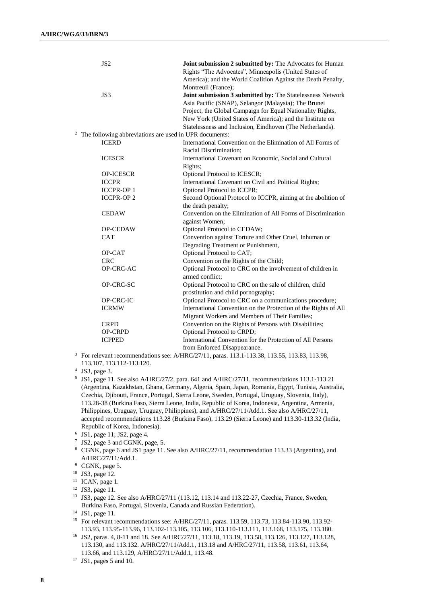| JS <sub>2</sub>                                        | Joint submission 2 submitted by: The Advocates for Human                      |
|--------------------------------------------------------|-------------------------------------------------------------------------------|
|                                                        | Rights "The Advocates", Minneapolis (United States of                         |
|                                                        | America); and the World Coalition Against the Death Penalty,                  |
|                                                        | Montreuil (France);                                                           |
| JS3                                                    | Joint submission 3 submitted by: The Statelessness Network                    |
|                                                        | Asia Pacific (SNAP), Selangor (Malaysia); The Brunei                          |
|                                                        | Project, the Global Campaign for Equal Nationality Rights,                    |
|                                                        | New York (United States of America); and the Institute on                     |
|                                                        | Statelessness and Inclusion, Eindhoven (The Netherlands).                     |
| The following abbreviations are used in UPR documents: |                                                                               |
| <b>ICERD</b>                                           | International Convention on the Elimination of All Forms of                   |
|                                                        | Racial Discrimination;                                                        |
| <b>ICESCR</b>                                          | International Covenant on Economic, Social and Cultural                       |
|                                                        | Rights;                                                                       |
| <b>OP-ICESCR</b>                                       | Optional Protocol to ICESCR;                                                  |
| <b>ICCPR</b>                                           | International Covenant on Civil and Political Rights;                         |
| <b>ICCPR-OP1</b>                                       | Optional Protocol to ICCPR;                                                   |
| <b>ICCPR-OP2</b>                                       | Second Optional Protocol to ICCPR, aiming at the abolition of                 |
|                                                        | the death penalty;                                                            |
| <b>CEDAW</b>                                           | Convention on the Elimination of All Forms of Discrimination                  |
|                                                        | against Women;                                                                |
| <b>OP-CEDAW</b>                                        | Optional Protocol to CEDAW;                                                   |
| <b>CAT</b>                                             | Convention against Torture and Other Cruel, Inhuman or                        |
|                                                        | Degrading Treatment or Punishment,                                            |
| OP-CAT                                                 | Optional Protocol to CAT;                                                     |
| <b>CRC</b>                                             | Convention on the Rights of the Child;                                        |
| OP-CRC-AC                                              | Optional Protocol to CRC on the involvement of children in<br>armed conflict; |
| OP-CRC-SC                                              | Optional Protocol to CRC on the sale of children, child                       |
|                                                        | prostitution and child pornography;                                           |
| OP-CRC-IC                                              | Optional Protocol to CRC on a communications procedure;                       |
| <b>ICRMW</b>                                           | International Convention on the Protection of the Rights of All               |
|                                                        | Migrant Workers and Members of Their Families;                                |
| <b>CRPD</b>                                            | Convention on the Rights of Persons with Disabilities;                        |
| <b>OP-CRPD</b>                                         | Optional Protocol to CRPD;                                                    |
| <b>ICPPED</b>                                          | International Convention for the Protection of All Persons                    |
|                                                        | from Enforced Disappearance.                                                  |
|                                                        |                                                                               |

<sup>3</sup> For relevant recommendations see: A/HRC/27/11, paras. 113.1-113.38, 113.55, 113.83, 113.98, 113.107, 113.112-113.120.

4 JS3, page 3.

5 JS1, page 11. See also A/HRC/27/2, para. 641 and A/HRC/27/11, recommendations 113.1-113.21 (Argentina, Kazakhstan, Ghana, Germany, Algeria, Spain, Japan, Romania, Egypt, Tunisia, Australia, Czechia, Djibouti, France, Portugal, Sierra Leone, Sweden, Portugal, Uruguay, Slovenia, Italy), 113.28-38 (Burkina Faso, Sierra Leone, India, Republic of Korea, Indonesia, Argentina, Armenia, Philippines, Uruguay, Uruguay, Philippines), and A/HRC/27/11/Add.1. See also A/HRC/27/11, accepted recommendations 113.28 (Burkina Faso), 113.29 (Sierra Leone) and 113.30-113.32 (India, Republic of Korea, Indonesia).

- 7 JS2, page 3 and CGNK, page, 5.
- <sup>8</sup> CGNK, page 6 and JS1 page 11. See also A/HRC/27/11, recommendation 113.33 (Argentina), and A/HRC/27/11/Add.1.
- <sup>9</sup> CGNK, page 5.

 $11$  ICAN, page 1.

<sup>6</sup> JS1, page 11; JS2, page 4.

<sup>10</sup> JS3, page 12.

<sup>12</sup> JS3, page 11.

<sup>&</sup>lt;sup>13</sup> JS3, page 12. See also A/HRC/27/11 (113.12, 113.14 and 113.22-27, Czechia, France, Sweden, Burkina Faso, Portugal, Slovenia, Canada and Russian Federation).

<sup>14</sup> JS1, page 11.

<sup>15</sup> For relevant recommendations see: A/HRC/27/11, paras. 113.59, 113.73, 113.84-113.90, 113.92- 113.93, 113.95-113.96, 113.102-113.105, 113.106, 113.110-113.111, 113.168, 113.175, 113.180.

<sup>16</sup> JS2, paras. 4, 8-11 and 18. See A/HRC/27/11, 113.18, 113.19, 113.58, 113.126, 113.127, 113.128, 113.130, and 113.132. A/HRC/27/11/Add.1, 113.18 and A/HRC/27/11, 113.58, 113.61, 113.64, 113.66, and 113.129, A/HRC/27/11/Add.1, 113.48.

<sup>17</sup> JS1, pages 5 and 10.